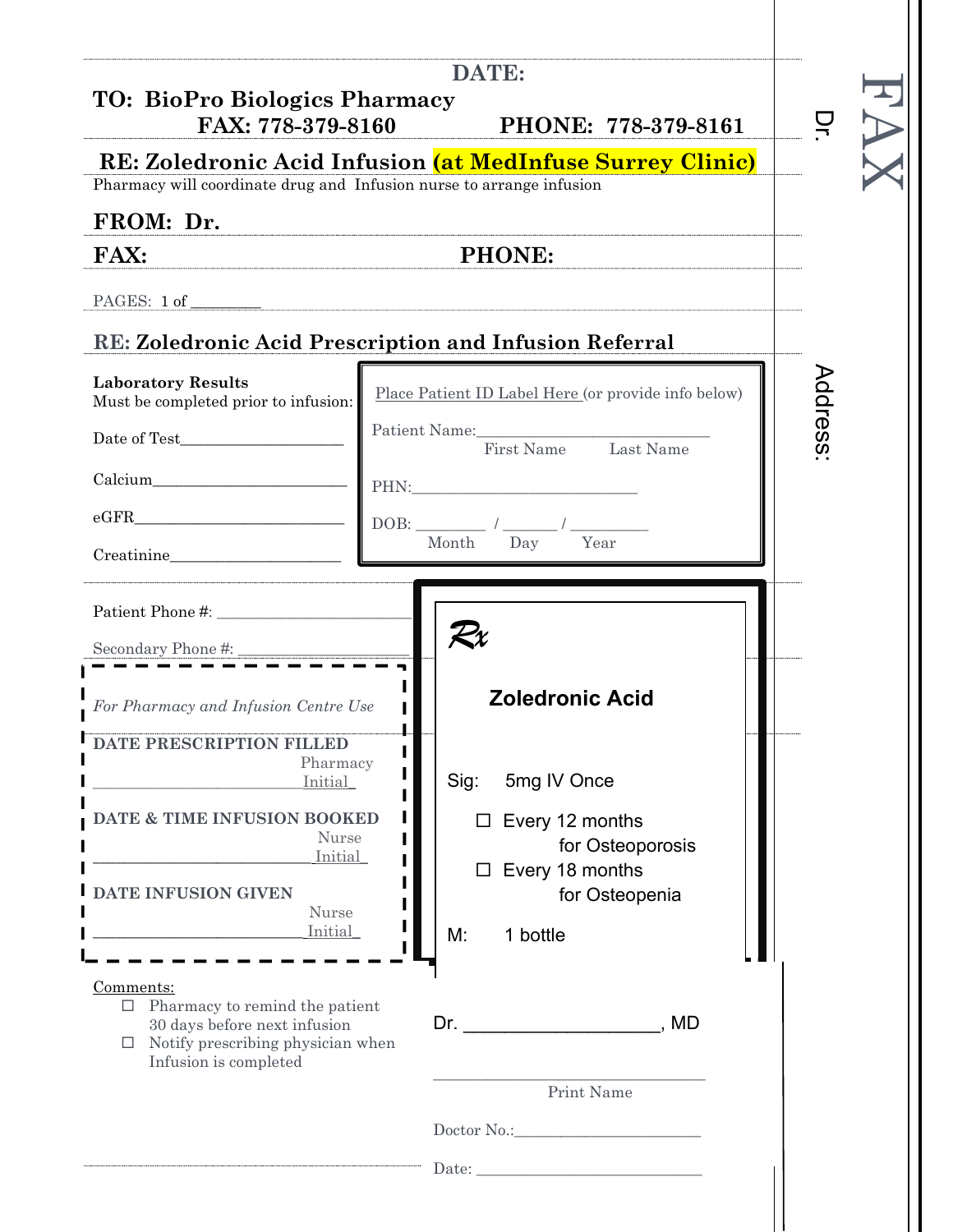| FAX: 778-379-8160<br>PHONE: 778-379-8161<br>RE: Zoledronic Acid Infusion (at MedInfuse Surrey Clinic)                                                                                                                                                                                                                                                                                                                                                                                                                                                              |                                                                                                                                                                 | 무       |
|--------------------------------------------------------------------------------------------------------------------------------------------------------------------------------------------------------------------------------------------------------------------------------------------------------------------------------------------------------------------------------------------------------------------------------------------------------------------------------------------------------------------------------------------------------------------|-----------------------------------------------------------------------------------------------------------------------------------------------------------------|---------|
| Pharmacy will coordinate drug and Infusion nurse to arrange infusion                                                                                                                                                                                                                                                                                                                                                                                                                                                                                               |                                                                                                                                                                 |         |
| FROM: Dr.                                                                                                                                                                                                                                                                                                                                                                                                                                                                                                                                                          |                                                                                                                                                                 |         |
| <b>FAX:</b>                                                                                                                                                                                                                                                                                                                                                                                                                                                                                                                                                        | <b>PHONE:</b>                                                                                                                                                   |         |
| PAGES: $1 \text{ of }$                                                                                                                                                                                                                                                                                                                                                                                                                                                                                                                                             | <u> 1989 - Jacques Barnett, amerikansk politiker (d. 1989)</u>                                                                                                  |         |
|                                                                                                                                                                                                                                                                                                                                                                                                                                                                                                                                                                    | RE: Zoledronic Acid Prescription and Infusion Referral                                                                                                          |         |
| <b>Laboratory Results</b><br>Must be completed prior to infusion:                                                                                                                                                                                                                                                                                                                                                                                                                                                                                                  | Place Patient ID Label Here (or provide info below)                                                                                                             | Address |
|                                                                                                                                                                                                                                                                                                                                                                                                                                                                                                                                                                    | Patient Name:<br>First Name Last Name                                                                                                                           |         |
| $Calcium$ $\qquad \qquad \blacksquare$                                                                                                                                                                                                                                                                                                                                                                                                                                                                                                                             |                                                                                                                                                                 |         |
|                                                                                                                                                                                                                                                                                                                                                                                                                                                                                                                                                                    |                                                                                                                                                                 |         |
| Creatinine 2000                                                                                                                                                                                                                                                                                                                                                                                                                                                                                                                                                    | Month Day<br>Year                                                                                                                                               |         |
| Secondary Phone #:<br>$\frac{1}{2}$ = $\frac{1}{2}$ = $\frac{1}{2}$ = $\frac{1}{2}$ = $\frac{1}{2}$ = $\frac{1}{2}$ = $\frac{1}{2}$ = $\frac{1}{2}$ = $\frac{1}{2}$ = $\frac{1}{2}$ = $\frac{1}{2}$ = $\frac{1}{2}$ = $\frac{1}{2}$ = $\frac{1}{2}$ = $\frac{1}{2}$ = $\frac{1}{2}$ = $\frac{1}{2}$<br>For Pharmacy and Infusion Centre Use<br>DATE PRESCRIPTION FILLED<br>Pharmacy<br><b>Initial</b><br>DATE & TIME INFUSION BOOKED<br>Nurse<br>Initial<br><b>I DATE INFUSION GIVEN</b><br>Nurse<br>Initial<br>Comments:<br>$\Box$ Pharmacy to remind the patient | <b>Zoledronic Acid</b><br>Sig:<br>5mg IV Once<br>Every 12 months<br>$\Box$<br>for Osteoporosis<br>Every 18 months<br>$\Box$<br>for Osteopenia<br>1 bottle<br>M: |         |
| 30 days before next infusion<br>Notify prescribing physician when<br>$\Box$<br>Infusion is completed                                                                                                                                                                                                                                                                                                                                                                                                                                                               | $Dr.$ MD                                                                                                                                                        |         |
|                                                                                                                                                                                                                                                                                                                                                                                                                                                                                                                                                                    |                                                                                                                                                                 |         |
|                                                                                                                                                                                                                                                                                                                                                                                                                                                                                                                                                                    | Print Name                                                                                                                                                      |         |